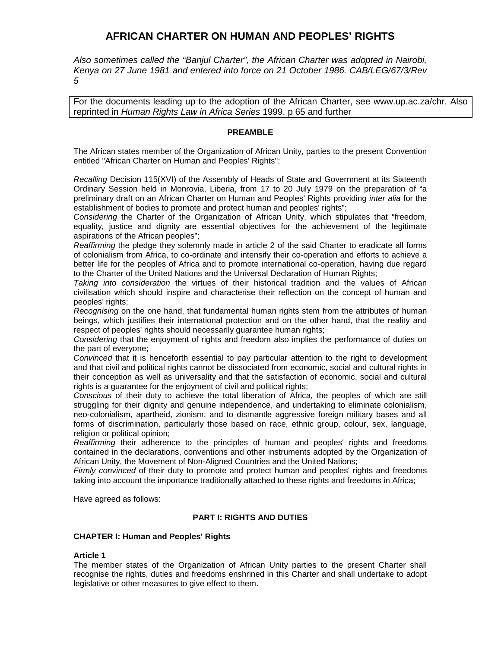# **AFRICAN CHARTER ON HUMAN AND PEOPLES' RIGHTS**

*Also sometimes called the "Banjul Charter", the African Charter was adopted in Nairobi, Kenya on 27 June 1981 and entered into force on 21 October 1986. CAB/LEG/67/3/Rev 5*

For the documents leading up to the adoption of the African Charter, see www.up.ac.za/chr. Also reprinted in *Human Rights Law in Africa Series* 1999, p 65 and further

# **PREAMBLE**

The African states member of the Organization of African Unity, parties to the present Convention entitled "African Charter on Human and Peoples' Rights";

*Recalling* Decision 115(XVI) of the Assembly of Heads of State and Government at its Sixteenth Ordinary Session held in Monrovia, Liberia, from 17 to 20 July 1979 on the preparation of "a preliminary draft on an African Charter on Human and Peoples' Rights providing *inter alia* for the establishment of bodies to promote and protect human and peoples' rights";

*Considering* the Charter of the Organization of African Unity, which stipulates that "freedom, equality, justice and dignity are essential objectives for the achievement of the legitimate aspirations of the African peoples";

*Reaffirming* the pledge they solemnly made in article 2 of the said Charter to eradicate all forms of colonialism from Africa, to co-ordinate and intensify their co-operation and efforts to achieve a better life for the peoples of Africa and to promote international co-operation, having due regard to the Charter of the United Nations and the Universal Declaration of Human Rights;

*Taking into consideration* the virtues of their historical tradition and the values of African civilisation which should inspire and characterise their reflection on the concept of human and peoples' rights;

*Recognising* on the one hand, that fundamental human rights stem from the attributes of human beings, which justifies their international protection and on the other hand, that the reality and respect of peoples' rights should necessarily guarantee human rights;

*Considering* that the enjoyment of rights and freedom also implies the performance of duties on the part of everyone;

*Convinced* that it is henceforth essential to pay particular attention to the right to development and that civil and political rights cannot be dissociated from economic, social and cultural rights in their conception as well as universality and that the satisfaction of economic, social and cultural rights is a guarantee for the enjoyment of civil and political rights;

*Conscious* of their duty to achieve the total liberation of Africa, the peoples of which are still struggling for their dignity and genuine independence, and undertaking to eliminate colonialism, neo-colonialism, apartheid, zionism, and to dismantle aggressive foreign military bases and all forms of discrimination, particularly those based on race, ethnic group, colour, sex, language, religion or political opinion:

*Reaffirming* their adherence to the principles of human and peoples' rights and freedoms contained in the declarations, conventions and other instruments adopted by the Organization of African Unity, the Movement of Non-Aligned Countries and the United Nations;

*Firmly convinced* of their duty to promote and protect human and peoples' rights and freedoms taking into account the importance traditionally attached to these rights and freedoms in Africa;

Have agreed as follows:

# **PART I: RIGHTS AND DUTIES**

# **CHAPTER I: Human and Peoples' Rights**

# **Article 1**

The member states of the Organization of African Unity parties to the present Charter shall recognise the rights, duties and freedoms enshrined in this Charter and shall undertake to adopt legislative or other measures to give effect to them.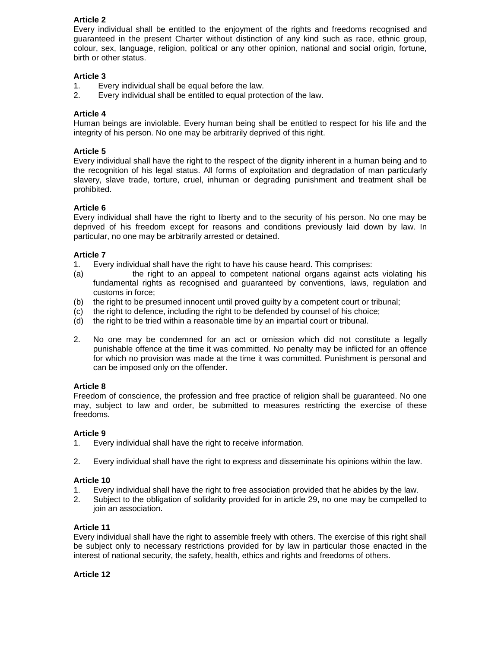Every individual shall be entitled to the enjoyment of the rights and freedoms recognised and guaranteed in the present Charter without distinction of any kind such as race, ethnic group, colour, sex, language, religion, political or any other opinion, national and social origin, fortune, birth or other status.

# **Article 3**

- 1. Every individual shall be equal before the law.
- 2. Every individual shall be entitled to equal protection of the law.

# **Article 4**

Human beings are inviolable. Every human being shall be entitled to respect for his life and the integrity of his person. No one may be arbitrarily deprived of this right.

# **Article 5**

Every individual shall have the right to the respect of the dignity inherent in a human being and to the recognition of his legal status. All forms of exploitation and degradation of man particularly slavery, slave trade, torture, cruel, inhuman or degrading punishment and treatment shall be prohibited.

# **Article 6**

Every individual shall have the right to liberty and to the security of his person. No one may be deprived of his freedom except for reasons and conditions previously laid down by law. In particular, no one may be arbitrarily arrested or detained.

# **Article 7**

- 1. Every individual shall have the right to have his cause heard. This comprises:
- (a) the right to an appeal to competent national organs against acts violating his fundamental rights as recognised and guaranteed by conventions, laws, regulation and customs in force;
- (b) the right to be presumed innocent until proved guilty by a competent court or tribunal;
- (c) the right to defence, including the right to be defended by counsel of his choice;
- (d) the right to be tried within a reasonable time by an impartial court or tribunal.
- 2. No one may be condemned for an act or omission which did not constitute a legally punishable offence at the time it was committed. No penalty may be inflicted for an offence for which no provision was made at the time it was committed. Punishment is personal and can be imposed only on the offender.

# **Article 8**

Freedom of conscience, the profession and free practice of religion shall be guaranteed. No one may, subject to law and order, be submitted to measures restricting the exercise of these freedoms.

# **Article 9**

- 1. Every individual shall have the right to receive information.
- 2. Every individual shall have the right to express and disseminate his opinions within the law.

# **Article 10**

- 1. Every individual shall have the right to free association provided that he abides by the law.
- 2. Subject to the obligation of solidarity provided for in article 29, no one may be compelled to join an association.

# **Article 11**

Every individual shall have the right to assemble freely with others. The exercise of this right shall be subject only to necessary restrictions provided for by law in particular those enacted in the interest of national security, the safety, health, ethics and rights and freedoms of others.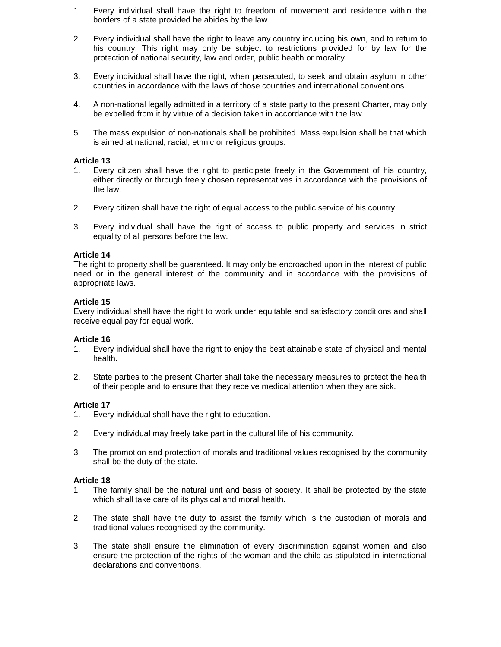- 1. Every individual shall have the right to freedom of movement and residence within the borders of a state provided he abides by the law.
- 2. Every individual shall have the right to leave any country including his own, and to return to his country. This right may only be subject to restrictions provided for by law for the protection of national security, law and order, public health or morality.
- 3. Every individual shall have the right, when persecuted, to seek and obtain asylum in other countries in accordance with the laws of those countries and international conventions.
- 4. A non-national legally admitted in a territory of a state party to the present Charter, may only be expelled from it by virtue of a decision taken in accordance with the law.
- 5. The mass expulsion of non-nationals shall be prohibited. Mass expulsion shall be that which is aimed at national, racial, ethnic or religious groups.

- 1. Every citizen shall have the right to participate freely in the Government of his country, either directly or through freely chosen representatives in accordance with the provisions of the law.
- 2. Every citizen shall have the right of equal access to the public service of his country.
- 3. Every individual shall have the right of access to public property and services in strict equality of all persons before the law.

#### **Article 14**

The right to property shall be guaranteed. It may only be encroached upon in the interest of public need or in the general interest of the community and in accordance with the provisions of appropriate laws.

#### **Article 15**

Every individual shall have the right to work under equitable and satisfactory conditions and shall receive equal pay for equal work.

#### **Article 16**

- 1. Every individual shall have the right to enjoy the best attainable state of physical and mental health.
- 2. State parties to the present Charter shall take the necessary measures to protect the health of their people and to ensure that they receive medical attention when they are sick.

# **Article 17**

- 1. Every individual shall have the right to education.
- 2. Every individual may freely take part in the cultural life of his community.
- 3. The promotion and protection of morals and traditional values recognised by the community shall be the duty of the state.

- 1. The family shall be the natural unit and basis of society. It shall be protected by the state which shall take care of its physical and moral health.
- 2. The state shall have the duty to assist the family which is the custodian of morals and traditional values recognised by the community.
- 3. The state shall ensure the elimination of every discrimination against women and also ensure the protection of the rights of the woman and the child as stipulated in international declarations and conventions.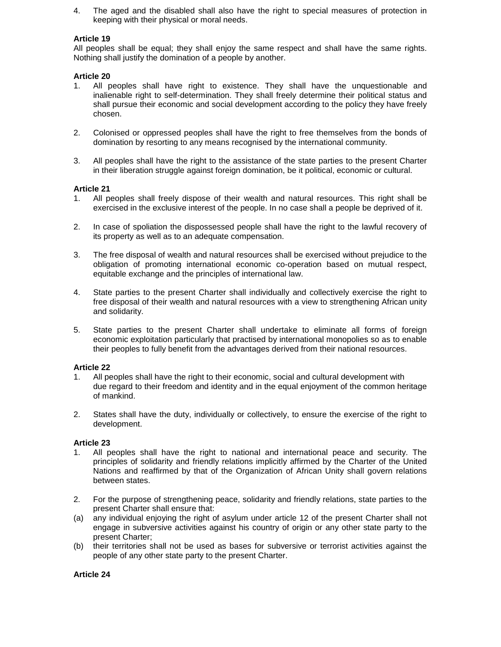4. The aged and the disabled shall also have the right to special measures of protection in keeping with their physical or moral needs.

# **Article 19**

All peoples shall be equal; they shall enjoy the same respect and shall have the same rights. Nothing shall justify the domination of a people by another.

# **Article 20**

- 1. All peoples shall have right to existence. They shall have the unquestionable and inalienable right to self-determination. They shall freely determine their political status and shall pursue their economic and social development according to the policy they have freely chosen.
- 2. Colonised or oppressed peoples shall have the right to free themselves from the bonds of domination by resorting to any means recognised by the international community.
- 3. All peoples shall have the right to the assistance of the state parties to the present Charter in their liberation struggle against foreign domination, be it political, economic or cultural.

# **Article 21**

- 1. All peoples shall freely dispose of their wealth and natural resources. This right shall be exercised in the exclusive interest of the people. In no case shall a people be deprived of it.
- 2. In case of spoliation the dispossessed people shall have the right to the lawful recovery of its property as well as to an adequate compensation.
- 3. The free disposal of wealth and natural resources shall be exercised without prejudice to the obligation of promoting international economic co-operation based on mutual respect, equitable exchange and the principles of international law.
- 4. State parties to the present Charter shall individually and collectively exercise the right to free disposal of their wealth and natural resources with a view to strengthening African unity and solidarity.
- 5. State parties to the present Charter shall undertake to eliminate all forms of foreign economic exploitation particularly that practised by international monopolies so as to enable their peoples to fully benefit from the advantages derived from their national resources.

# **Article 22**

- 1. All peoples shall have the right to their economic, social and cultural development with due regard to their freedom and identity and in the equal enjoyment of the common heritage of mankind.
- 2. States shall have the duty, individually or collectively, to ensure the exercise of the right to development.

# **Article 23**

- 1. All peoples shall have the right to national and international peace and security. The principles of solidarity and friendly relations implicitly affirmed by the Charter of the United Nations and reaffirmed by that of the Organization of African Unity shall govern relations between states.
- 2. For the purpose of strengthening peace, solidarity and friendly relations, state parties to the present Charter shall ensure that:
- (a) any individual enjoying the right of asylum under article 12 of the present Charter shall not engage in subversive activities against his country of origin or any other state party to the present Charter;
- (b) their territories shall not be used as bases for subversive or terrorist activities against the people of any other state party to the present Charter.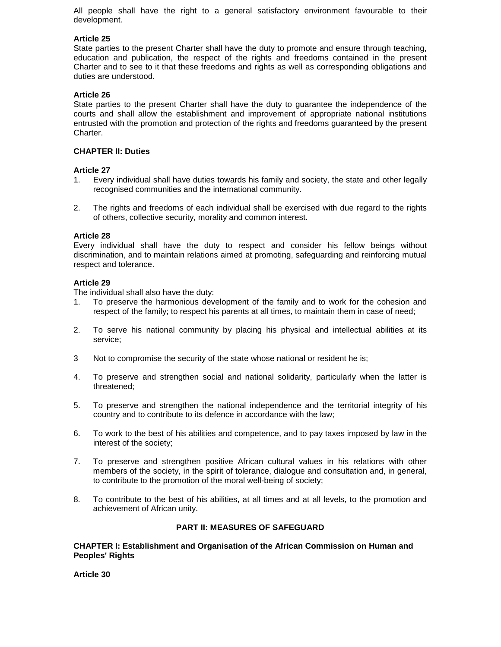All people shall have the right to a general satisfactory environment favourable to their development.

# **Article 25**

State parties to the present Charter shall have the duty to promote and ensure through teaching, education and publication, the respect of the rights and freedoms contained in the present Charter and to see to it that these freedoms and rights as well as corresponding obligations and duties are understood.

# **Article 26**

State parties to the present Charter shall have the duty to guarantee the independence of the courts and shall allow the establishment and improvement of appropriate national institutions entrusted with the promotion and protection of the rights and freedoms guaranteed by the present Charter.

# **CHAPTER II: Duties**

# **Article 27**

- 1. Every individual shall have duties towards his family and society, the state and other legally recognised communities and the international community.
- 2. The rights and freedoms of each individual shall be exercised with due regard to the rights of others, collective security, morality and common interest.

# **Article 28**

Every individual shall have the duty to respect and consider his fellow beings without discrimination, and to maintain relations aimed at promoting, safeguarding and reinforcing mutual respect and tolerance.

# **Article 29**

The individual shall also have the duty:

- 1. To preserve the harmonious development of the family and to work for the cohesion and respect of the family; to respect his parents at all times, to maintain them in case of need;
- 2. To serve his national community by placing his physical and intellectual abilities at its service;
- 3 Not to compromise the security of the state whose national or resident he is;
- 4. To preserve and strengthen social and national solidarity, particularly when the latter is threatened;
- 5. To preserve and strengthen the national independence and the territorial integrity of his country and to contribute to its defence in accordance with the law;
- 6. To work to the best of his abilities and competence, and to pay taxes imposed by law in the interest of the society;
- 7. To preserve and strengthen positive African cultural values in his relations with other members of the society, in the spirit of tolerance, dialogue and consultation and, in general, to contribute to the promotion of the moral well-being of society;
- 8. To contribute to the best of his abilities, at all times and at all levels, to the promotion and achievement of African unity.

# **PART II: MEASURES OF SAFEGUARD**

# **CHAPTER I: Establishment and Organisation of the African Commission on Human and Peoples' Rights**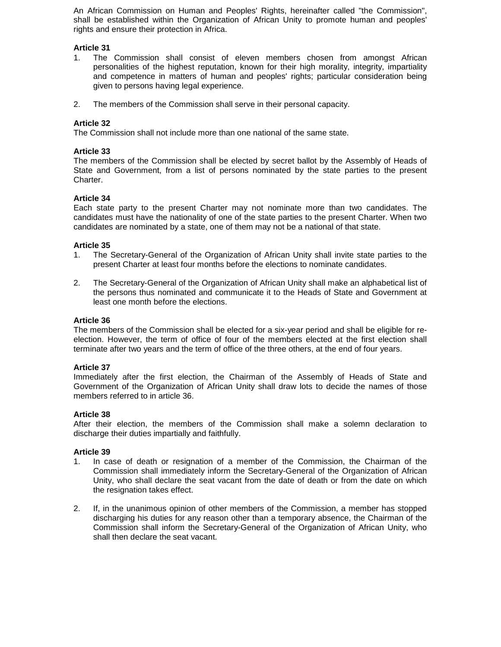An African Commission on Human and Peoples' Rights, hereinafter called "the Commission", shall be established within the Organization of African Unity to promote human and peoples' rights and ensure their protection in Africa.

# **Article 31**

- 1. The Commission shall consist of eleven members chosen from amongst African personalities of the highest reputation, known for their high morality, integrity, impartiality and competence in matters of human and peoples' rights; particular consideration being given to persons having legal experience.
- 2. The members of the Commission shall serve in their personal capacity.

#### **Article 32**

The Commission shall not include more than one national of the same state.

#### **Article 33**

The members of the Commission shall be elected by secret ballot by the Assembly of Heads of State and Government, from a list of persons nominated by the state parties to the present Charter.

#### **Article 34**

Each state party to the present Charter may not nominate more than two candidates. The candidates must have the nationality of one of the state parties to the present Charter. When two candidates are nominated by a state, one of them may not be a national of that state.

#### **Article 35**

- 1. The Secretary-General of the Organization of African Unity shall invite state parties to the present Charter at least four months before the elections to nominate candidates.
- 2. The Secretary-General of the Organization of African Unity shall make an alphabetical list of the persons thus nominated and communicate it to the Heads of State and Government at least one month before the elections.

#### **Article 36**

The members of the Commission shall be elected for a six-year period and shall be eligible for reelection. However, the term of office of four of the members elected at the first election shall terminate after two years and the term of office of the three others, at the end of four years.

#### **Article 37**

Immediately after the first election, the Chairman of the Assembly of Heads of State and Government of the Organization of African Unity shall draw lots to decide the names of those members referred to in article 36.

#### **Article 38**

After their election, the members of the Commission shall make a solemn declaration to discharge their duties impartially and faithfully.

- 1. In case of death or resignation of a member of the Commission, the Chairman of the Commission shall immediately inform the Secretary-General of the Organization of African Unity, who shall declare the seat vacant from the date of death or from the date on which the resignation takes effect.
- 2. If, in the unanimous opinion of other members of the Commission, a member has stopped discharging his duties for any reason other than a temporary absence, the Chairman of the Commission shall inform the Secretary-General of the Organization of African Unity, who shall then declare the seat vacant.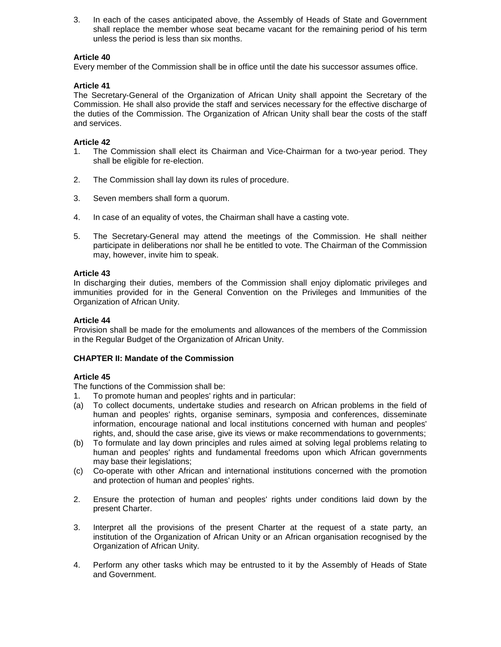3. In each of the cases anticipated above, the Assembly of Heads of State and Government shall replace the member whose seat became vacant for the remaining period of his term unless the period is less than six months.

# **Article 40**

Every member of the Commission shall be in office until the date his successor assumes office.

# **Article 41**

The Secretary-General of the Organization of African Unity shall appoint the Secretary of the Commission. He shall also provide the staff and services necessary for the effective discharge of the duties of the Commission. The Organization of African Unity shall bear the costs of the staff and services.

# **Article 42**

- 1. The Commission shall elect its Chairman and Vice-Chairman for a two-year period. They shall be eligible for re-election.
- 2. The Commission shall lay down its rules of procedure.
- 3. Seven members shall form a quorum.
- 4. In case of an equality of votes, the Chairman shall have a casting vote.
- 5. The Secretary-General may attend the meetings of the Commission. He shall neither participate in deliberations nor shall he be entitled to vote. The Chairman of the Commission may, however, invite him to speak.

# **Article 43**

In discharging their duties, members of the Commission shall enjoy diplomatic privileges and immunities provided for in the General Convention on the Privileges and Immunities of the Organization of African Unity.

# **Article 44**

Provision shall be made for the emoluments and allowances of the members of the Commission in the Regular Budget of the Organization of African Unity.

# **CHAPTER II: Mandate of the Commission**

# **Article 45**

The functions of the Commission shall be:

- 1. To promote human and peoples' rights and in particular:
- (a) To collect documents, undertake studies and research on African problems in the field of human and peoples' rights, organise seminars, symposia and conferences, disseminate information, encourage national and local institutions concerned with human and peoples' rights, and, should the case arise, give its views or make recommendations to governments;
- (b) To formulate and lay down principles and rules aimed at solving legal problems relating to human and peoples' rights and fundamental freedoms upon which African governments may base their legislations:
- (c) Co-operate with other African and international institutions concerned with the promotion and protection of human and peoples' rights.
- 2. Ensure the protection of human and peoples' rights under conditions laid down by the present Charter.
- 3. Interpret all the provisions of the present Charter at the request of a state party, an institution of the Organization of African Unity or an African organisation recognised by the Organization of African Unity.
- 4. Perform any other tasks which may be entrusted to it by the Assembly of Heads of State and Government.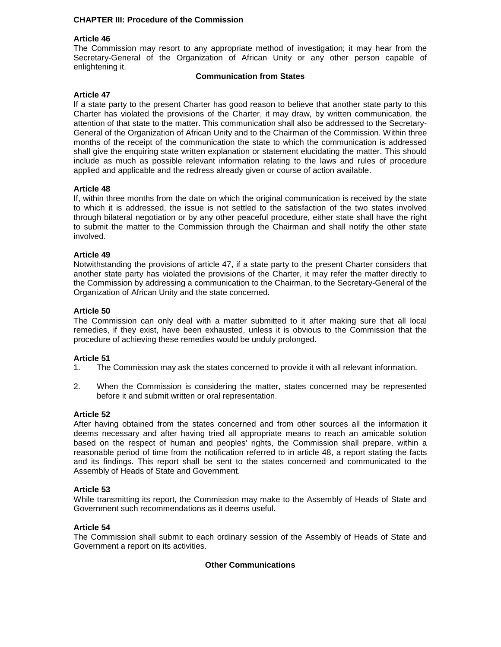# **CHAPTER III: Procedure of the Commission**

# **Article 46**

The Commission may resort to any appropriate method of investigation; it may hear from the Secretary-General of the Organization of African Unity or any other person capable of enlightening it.

# **Communication from States**

# **Article 47**

If a state party to the present Charter has good reason to believe that another state party to this Charter has violated the provisions of the Charter, it may draw, by written communication, the attention of that state to the matter. This communication shall also be addressed to the Secretary-General of the Organization of African Unity and to the Chairman of the Commission. Within three months of the receipt of the communication the state to which the communication is addressed shall give the enquiring state written explanation or statement elucidating the matter. This should include as much as possible relevant information relating to the laws and rules of procedure applied and applicable and the redress already given or course of action available.

# **Article 48**

If, within three months from the date on which the original communication is received by the state to which it is addressed, the issue is not settled to the satisfaction of the two states involved through bilateral negotiation or by any other peaceful procedure, either state shall have the right to submit the matter to the Commission through the Chairman and shall notify the other state involved.

# **Article 49**

Notwithstanding the provisions of article 47, if a state party to the present Charter considers that another state party has violated the provisions of the Charter, it may refer the matter directly to the Commission by addressing a communication to the Chairman, to the Secretary-General of the Organization of African Unity and the state concerned.

# **Article 50**

The Commission can only deal with a matter submitted to it after making sure that all local remedies, if they exist, have been exhausted, unless it is obvious to the Commission that the procedure of achieving these remedies would be unduly prolonged.

# **Article 51**

1. The Commission may ask the states concerned to provide it with all relevant information.

2. When the Commission is considering the matter, states concerned may be represented before it and submit written or oral representation.

# **Article 52**

After having obtained from the states concerned and from other sources all the information it deems necessary and after having tried all appropriate means to reach an amicable solution based on the respect of human and peoples' rights, the Commission shall prepare, within a reasonable period of time from the notification referred to in article 48, a report stating the facts and its findings. This report shall be sent to the states concerned and communicated to the Assembly of Heads of State and Government.

# **Article 53**

While transmitting its report, the Commission may make to the Assembly of Heads of State and Government such recommendations as it deems useful.

# **Article 54**

The Commission shall submit to each ordinary session of the Assembly of Heads of State and Government a report on its activities.

# **Other Communications**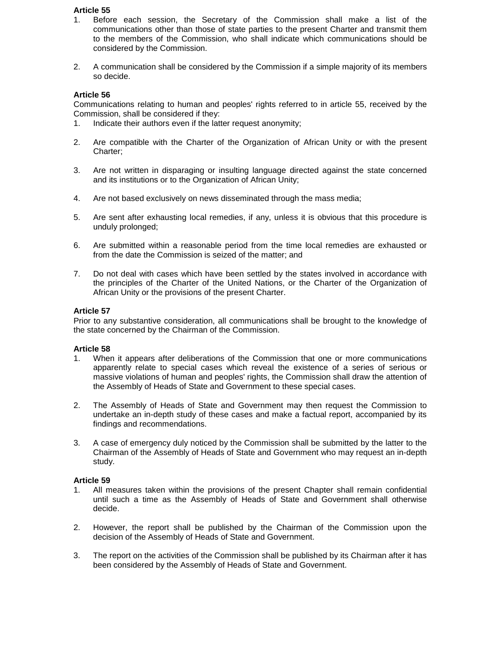- 1. Before each session, the Secretary of the Commission shall make a list of the communications other than those of state parties to the present Charter and transmit them to the members of the Commission, who shall indicate which communications should be considered by the Commission.
- 2. A communication shall be considered by the Commission if a simple majority of its members so decide.

# **Article 56**

Communications relating to human and peoples' rights referred to in article 55, received by the Commission, shall be considered if they:

- 1. Indicate their authors even if the latter request anonymity;
- 2. Are compatible with the Charter of the Organization of African Unity or with the present Charter;
- 3. Are not written in disparaging or insulting language directed against the state concerned and its institutions or to the Organization of African Unity;
- 4. Are not based exclusively on news disseminated through the mass media;
- 5. Are sent after exhausting local remedies, if any, unless it is obvious that this procedure is unduly prolonged;
- 6. Are submitted within a reasonable period from the time local remedies are exhausted or from the date the Commission is seized of the matter; and
- 7. Do not deal with cases which have been settled by the states involved in accordance with the principles of the Charter of the United Nations, or the Charter of the Organization of African Unity or the provisions of the present Charter.

# **Article 57**

Prior to any substantive consideration, all communications shall be brought to the knowledge of the state concerned by the Chairman of the Commission.

# **Article 58**

- 1. When it appears after deliberations of the Commission that one or more communications apparently relate to special cases which reveal the existence of a series of serious or massive violations of human and peoples' rights, the Commission shall draw the attention of the Assembly of Heads of State and Government to these special cases.
- 2. The Assembly of Heads of State and Government may then request the Commission to undertake an in-depth study of these cases and make a factual report, accompanied by its findings and recommendations.
- 3. A case of emergency duly noticed by the Commission shall be submitted by the latter to the Chairman of the Assembly of Heads of State and Government who may request an in-depth study.

- 1. All measures taken within the provisions of the present Chapter shall remain confidential until such a time as the Assembly of Heads of State and Government shall otherwise decide.
- 2. However, the report shall be published by the Chairman of the Commission upon the decision of the Assembly of Heads of State and Government.
- 3. The report on the activities of the Commission shall be published by its Chairman after it has been considered by the Assembly of Heads of State and Government.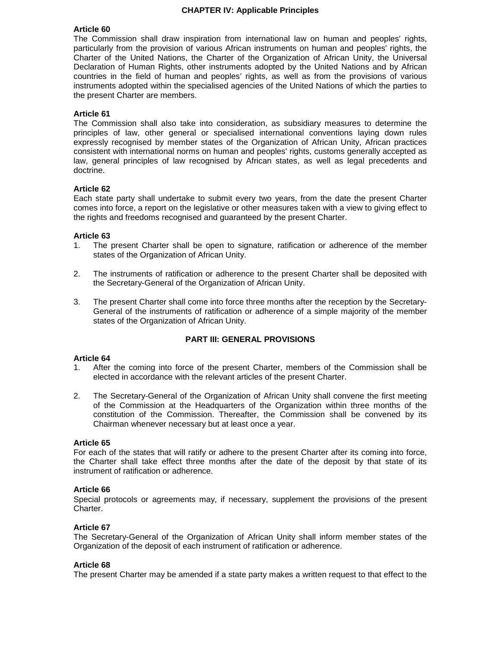The Commission shall draw inspiration from international law on human and peoples' rights, particularly from the provision of various African instruments on human and peoples' rights, the Charter of the United Nations, the Charter of the Organization of African Unity, the Universal Declaration of Human Rights, other instruments adopted by the United Nations and by African countries in the field of human and peoples' rights, as well as from the provisions of various instruments adopted within the specialised agencies of the United Nations of which the parties to the present Charter are members.

# **Article 61**

The Commission shall also take into consideration, as subsidiary measures to determine the principles of law, other general or specialised international conventions laying down rules expressly recognised by member states of the Organization of African Unity, African practices consistent with international norms on human and peoples' rights, customs generally accepted as law, general principles of law recognised by African states, as well as legal precedents and doctrine.

# **Article 62**

Each state party shall undertake to submit every two years, from the date the present Charter comes into force, a report on the legislative or other measures taken with a view to giving effect to the rights and freedoms recognised and guaranteed by the present Charter.

# **Article 63**

- 1. The present Charter shall be open to signature, ratification or adherence of the member states of the Organization of African Unity.
- 2. The instruments of ratification or adherence to the present Charter shall be deposited with the Secretary-General of the Organization of African Unity.
- 3. The present Charter shall come into force three months after the reception by the Secretary-General of the instruments of ratification or adherence of a simple majority of the member states of the Organization of African Unity.

# **PART III: GENERAL PROVISIONS**

# **Article 64**

- 1. After the coming into force of the present Charter, members of the Commission shall be elected in accordance with the relevant articles of the present Charter.
- 2. The Secretary-General of the Organization of African Unity shall convene the first meeting of the Commission at the Headquarters of the Organization within three months of the constitution of the Commission. Thereafter, the Commission shall be convened by its Chairman whenever necessary but at least once a year.

# **Article 65**

For each of the states that will ratify or adhere to the present Charter after its coming into force, the Charter shall take effect three months after the date of the deposit by that state of its instrument of ratification or adherence.

# **Article 66**

Special protocols or agreements may, if necessary, supplement the provisions of the present Charter.

# **Article 67**

The Secretary-General of the Organization of African Unity shall inform member states of the Organization of the deposit of each instrument of ratification or adherence.

# **Article 68**

The present Charter may be amended if a state party makes a written request to that effect to the